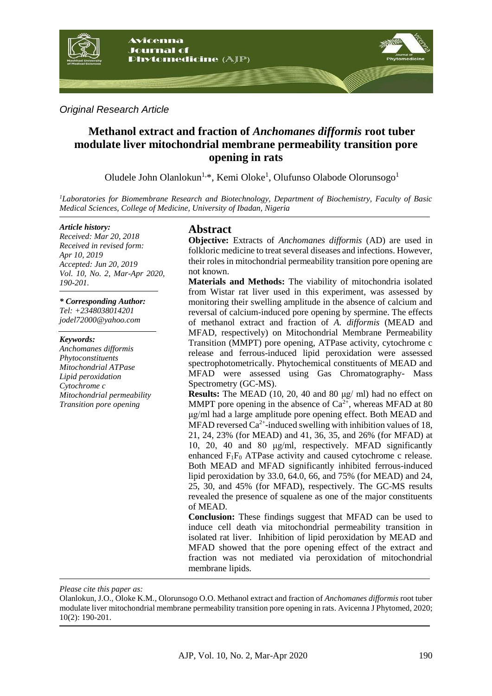

### *Original Research Article*

# **Methanol extract and fraction of** *Anchomanes difformis* **root tuber modulate liver mitochondrial membrane permeability transition pore opening in rats**

Oludele John Olanlokun<sup>1,\*</sup>, Kemi Oloke<sup>1</sup>, Olufunso Olabode Olorunsogo<sup>1</sup>

*<sup>1</sup>Laboratories for Biomembrane Research and Biotechnology, Department of Biochemistry, Faculty of Basic Medical Sciences, College of Medicine, University of Ibadan, Nigeria*

#### *Article history:*

*Received: Mar 20, 2018 Received in revised form: Apr 10, 2019 Accepted: Jun 20, 2019 Vol. 10, No. 2, Mar-Apr 2020, 190-201.*

*\* Corresponding Author: Tel: +2348038014201 jodel72000@yahoo.com*

#### *Keywords:*

*Anchomanes difformis Phytoconstituents Mitochondrial ATPase Lipid peroxidation Cytochrome c Mitochondrial permeability Transition pore opening*

### **Abstract**

**Objective:** Extracts of *Anchomanes difformis* (AD) are used in folkloric medicine to treat several diseases and infections. However, their roles in mitochondrial permeability transition pore opening are not known.

**Materials and Methods:** The viability of mitochondria isolated from Wistar rat liver used in this experiment, was assessed by monitoring their swelling amplitude in the absence of calcium and reversal of calcium-induced pore opening by spermine. The effects of methanol extract and fraction of *A. difformis* (MEAD and MFAD, respectively) on Mitochondrial Membrane Permeability Transition (MMPT) pore opening, ATPase activity, cytochrome c release and ferrous-induced lipid peroxidation were assessed spectrophotometrically. Phytochemical constituents of MEAD and MFAD were assessed using Gas Chromatography- Mass Spectrometry (GC-MS).

**Results:** The MEAD (10, 20, 40 and 80 μg/ ml) had no effect on MMPT pore opening in the absence of  $Ca^{2+}$ , whereas MFAD at 80 μg/ml had a large amplitude pore opening effect. Both MEAD and MFAD reversed  $Ca^{2+}$ -induced swelling with inhibition values of 18, 21, 24, 23% (for MEAD) and 41, 36, 35, and 26% (for MFAD) at 10, 20, 40 and 80 μg/ml, respectively. MFAD significantly enhanced  $F_1F_0$  ATPase activity and caused cytochrome c release. Both MEAD and MFAD significantly inhibited ferrous-induced lipid peroxidation by 33.0, 64.0, 66, and 75% (for MEAD) and 24, 25, 30, and 45% (for MFAD), respectively. The GC-MS results revealed the presence of squalene as one of the major constituents of MEAD.

**Conclusion:** These findings suggest that MFAD can be used to induce cell death via mitochondrial permeability transition in isolated rat liver. Inhibition of lipid peroxidation by MEAD and MFAD showed that the pore opening effect of the extract and fraction was not mediated via peroxidation of mitochondrial membrane lipids.

*Please cite this paper as:* 

Olanlokun, J.O., Oloke K.M., Olorunsogo O.O. Methanol extract and fraction of *Anchomanes difformis* root tuber modulate liver mitochondrial membrane permeability transition pore opening in rats. Avicenna J Phytomed, 2020; 10(2): 190-201.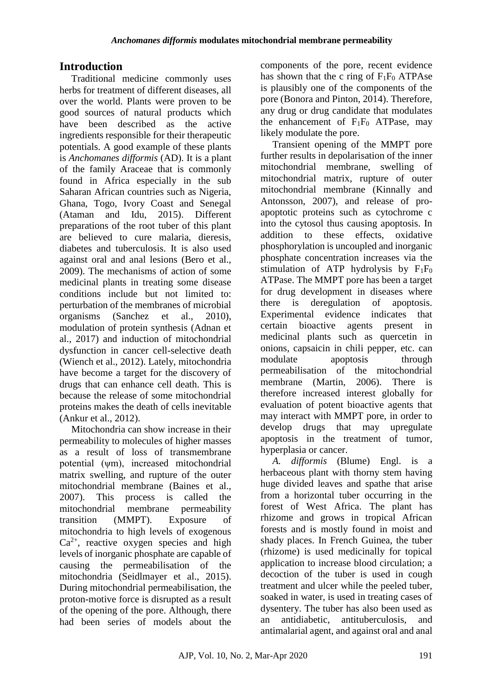# **Introduction**

Traditional medicine commonly uses herbs for treatment of different diseases, all over the world. Plants were proven to be good sources of natural products which have been described as the active ingredients responsible for their therapeutic potentials. A good example of these plants is *Anchomanes difformis* (AD). It is a plant of the family Araceae that is commonly found in Africa especially in the sub Saharan African countries such as Nigeria, Ghana, Togo, Ivory Coast and Senegal (Ataman and Idu, 2015). Different preparations of the root tuber of this plant are believed to cure malaria, dieresis, diabetes and tuberculosis. It is also used against oral and anal lesions (Bero et al., 2009). The mechanisms of action of some medicinal plants in treating some disease conditions include but not limited to: perturbation of the membranes of microbial organisms (Sanchez et al., 2010), modulation of protein synthesis (Adnan et al., 2017) and induction of mitochondrial dysfunction in cancer cell-selective death (Wiench et al., 2012). Lately, mitochondria have become a target for the discovery of drugs that can enhance cell death. This is because the release of some mitochondrial proteins makes the death of cells inevitable (Ankur et al., 2012).

Mitochondria can show increase in their permeability to molecules of higher masses as a result of loss of transmembrane potential (ψm), increased mitochondrial matrix swelling, and rupture of the outer mitochondrial membrane (Baines et al., 2007). This process is called the mitochondrial membrane permeability transition (MMPT). Exposure of mitochondria to high levels of exogenous  $Ca<sup>2+</sup>$ , reactive oxygen species and high levels of inorganic phosphate are capable of causing the permeabilisation of the mitochondria (Seidlmayer et al., 2015). During mitochondrial permeabilisation, the proton-motive force is disrupted as a result of the opening of the pore. Although, there had been series of models about the components of the pore, recent evidence has shown that the c ring of  $F_1F_0$  ATPAse is plausibly one of the components of the pore (Bonora and Pinton, 2014). Therefore, any drug or drug candidate that modulates the enhancement of  $F_1F_0$  ATPase, may likely modulate the pore.

Transient opening of the MMPT pore further results in depolarisation of the inner mitochondrial membrane, swelling of mitochondrial matrix, rupture of outer mitochondrial membrane (Kinnally and Antonsson, 2007), and release of proapoptotic proteins such as cytochrome c into the cytosol thus causing apoptosis. In addition to these effects, oxidative phosphorylation is uncoupled and inorganic phosphate concentration increases via the stimulation of ATP hydrolysis by  $F_1F_0$ ATPase. The MMPT pore has been a target for drug development in diseases where there is deregulation of apoptosis. Experimental evidence indicates that certain bioactive agents present in medicinal plants such as quercetin in onions, capsaicin in chili pepper, etc. can modulate apoptosis through permeabilisation of the mitochondrial membrane (Martin, 2006). There is therefore increased interest globally for evaluation of potent bioactive agents that may interact with MMPT pore, in order to develop drugs that may upregulate apoptosis in the treatment of tumor, hyperplasia or cancer.

*A. difformis* (Blume) Engl. is a herbaceous plant with thorny stem having huge divided leaves and spathe that arise from a horizontal tuber occurring in the forest of West Africa. The plant has rhizome and grows in tropical African forests and is mostly found in moist and shady places. In French Guinea, the tuber (rhizome) is used medicinally for topical application to increase blood circulation; a decoction of the tuber is used in cough treatment and ulcer while the peeled tuber, soaked in water, is used in treating cases of dysentery. The tuber has also been used as an antidiabetic, antituberculosis, and antimalarial agent, and against oral and anal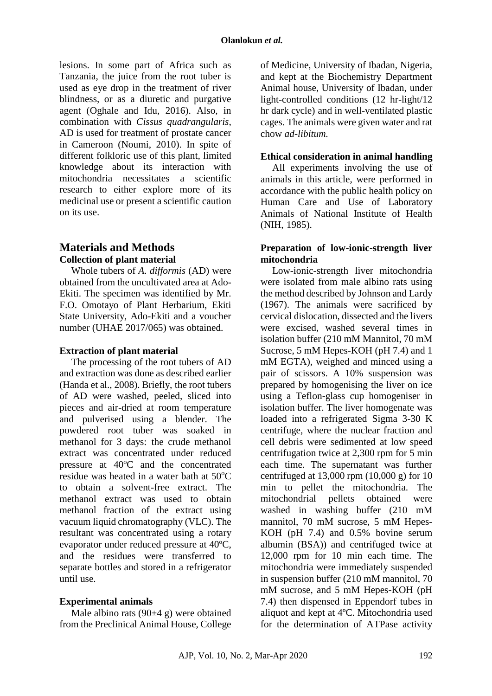lesions. In some part of Africa such as Tanzania, the juice from the root tuber is used as eye drop in the treatment of river blindness, or as a diuretic and purgative agent (Oghale and Idu, 2016). Also, in combination with *Cissus quadrangularis*, AD is used for treatment of prostate cancer in Cameroon (Noumi, 2010). In spite of different folkloric use of this plant, limited knowledge about its interaction with mitochondria necessitates a scientific research to either explore more of its medicinal use or present a scientific caution on its use.

### **Materials and Methods Collection of plant material**

Whole tubers of *A. difformis* (AD) were obtained from the uncultivated area at Ado-Ekiti. The specimen was identified by Mr. F.O. Omotayo of Plant Herbarium, Ekiti State University, Ado-Ekiti and a voucher number (UHAE 2017/065) was obtained.

#### **Extraction of plant material**

The processing of the root tubers of AD and extraction was done as described earlier (Handa et al., 2008). Briefly, the root tubers of AD were washed, peeled, sliced into pieces and air-dried at room temperature and pulverised using a blender. The powdered root tuber was soaked in methanol for 3 days: the crude methanol extract was concentrated under reduced pressure at  $40^{\circ}$ C and the concentrated residue was heated in a water bath at  $50^{\circ}$ C to obtain a solvent-free extract. The methanol extract was used to obtain methanol fraction of the extract using vacuum liquid chromatography (VLC). The resultant was concentrated using a rotary evaporator under reduced pressure at 40ºC, and the residues were transferred to separate bottles and stored in a refrigerator until use.

### **Experimental animals**

Male albino rats  $(90±4 g)$  were obtained from the Preclinical Animal House, College of Medicine, University of Ibadan, Nigeria, and kept at the Biochemistry Department Animal house, University of Ibadan, under light-controlled conditions (12 hr-light/12 hr dark cycle) and in well-ventilated plastic cages. The animals were given water and rat chow *ad-libitum.*

#### **Ethical consideration in animal handling**

All experiments involving the use of animals in this article, were performed in accordance with the public health policy on Human Care and Use of Laboratory Animals of National Institute of Health (NIH, 1985).

#### **Preparation of low-ionic-strength liver mitochondria**

Low-ionic-strength liver mitochondria were isolated from male albino rats using the method described by Johnson and Lardy (1967). The animals were sacrificed by cervical dislocation, dissected and the livers were excised, washed several times in isolation buffer (210 mM Mannitol, 70 mM Sucrose, 5 mM Hepes-KOH (pH 7.4) and 1 mM EGTA), weighed and minced using a pair of scissors. A 10% suspension was prepared by homogenising the liver on ice using a Teflon-glass cup homogeniser in isolation buffer. The liver homogenate was loaded into a refrigerated Sigma 3-30 K centrifuge, where the nuclear fraction and cell debris were sedimented at low speed centrifugation twice at 2,300 rpm for 5 min each time. The supernatant was further centrifuged at 13,000 rpm (10,000 g) for 10 min to pellet the mitochondria. The mitochondrial pellets obtained were washed in washing buffer (210 mM mannitol, 70 mM sucrose, 5 mM Hepes-KOH (pH 7.4) and 0.5% bovine serum albumin (BSA)) and centrifuged twice at 12,000 rpm for 10 min each time. The mitochondria were immediately suspended in suspension buffer (210 mM mannitol, 70 mM sucrose, and 5 mM Hepes-KOH (pH 7.4) then dispensed in Eppendorf tubes in aliquot and kept at 4ºC. Mitochondria used for the determination of ATPase activity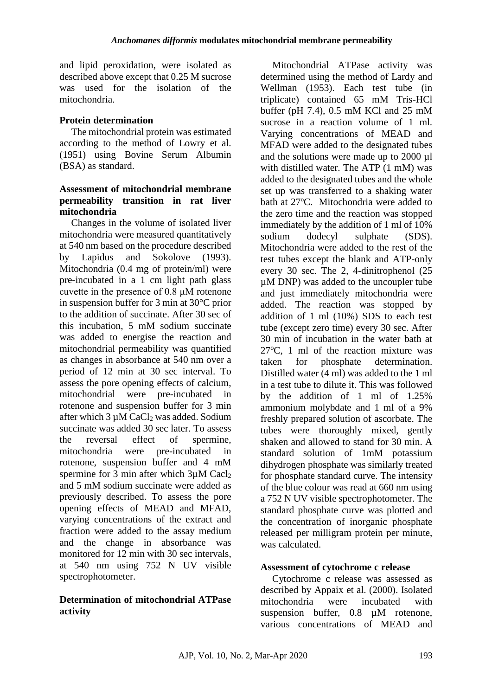and lipid peroxidation, were isolated as described above except that 0.25 M sucrose was used for the isolation of the mitochondria.

### **Protein determination**

The mitochondrial protein was estimated according to the method of Lowry et al. (1951) using Bovine Serum Albumin (BSA) as standard.

### **Assessment of mitochondrial membrane permeability transition in rat liver mitochondria**

Changes in the volume of isolated liver mitochondria were measured quantitatively at 540 nm based on the procedure described by Lapidus and Sokolove (1993). Mitochondria (0.4 mg of protein/ml) were pre-incubated in a 1 cm light path glass cuvette in the presence of 0.8 μM rotenone in suspension buffer for 3 min at 30°C prior to the addition of succinate. After 30 sec of this incubation, 5 mM sodium succinate was added to energise the reaction and mitochondrial permeability was quantified as changes in absorbance at 540 nm over a period of 12 min at 30 sec interval. To assess the pore opening effects of calcium, mitochondrial were pre-incubated in rotenone and suspension buffer for 3 min after which  $3 \mu M$  CaCl<sub>2</sub> was added. Sodium succinate was added 30 sec later. To assess the reversal effect of spermine, mitochondria were pre-incubated in rotenone, suspension buffer and 4 mM spermine for 3 min after which  $3\mu$ M Cacl<sub>2</sub> and 5 mM sodium succinate were added as previously described. To assess the pore opening effects of MEAD and MFAD, varying concentrations of the extract and fraction were added to the assay medium and the change in absorbance was monitored for 12 min with 30 sec intervals, at 540 nm using 752 N UV visible spectrophotometer.

### **Determination of mitochondrial ATPase activity**

Mitochondrial ATPase activity was determined using the method of Lardy and Wellman (1953). Each test tube (in triplicate) contained 65 mM Tris-HCl buffer (pH 7.4), 0.5 mM KCl and 25 mM sucrose in a reaction volume of 1 ml. Varying concentrations of MEAD and MFAD were added to the designated tubes and the solutions were made up to 2000 µl with distilled water. The ATP (1 mM) was added to the designated tubes and the whole set up was transferred to a shaking water bath at 27ºC. Mitochondria were added to the zero time and the reaction was stopped immediately by the addition of 1 ml of 10% sodium dodecyl sulphate (SDS). Mitochondria were added to the rest of the test tubes except the blank and ATP-only every 30 sec. The 2, 4-dinitrophenol (25 µM DNP) was added to the uncoupler tube and just immediately mitochondria were added. The reaction was stopped by addition of 1 ml (10%) SDS to each test tube (except zero time) every 30 sec. After 30 min of incubation in the water bath at  $27^{\circ}$ C, 1 ml of the reaction mixture was taken for phosphate determination. Distilled water (4 ml) was added to the 1 ml in a test tube to dilute it. This was followed by the addition of 1 ml of 1.25% ammonium molybdate and 1 ml of a 9% freshly prepared solution of ascorbate. The tubes were thoroughly mixed, gently shaken and allowed to stand for 30 min. A standard solution of 1mM potassium dihydrogen phosphate was similarly treated for phosphate standard curve. The intensity of the blue colour was read at 660 nm using a 752 N UV visible spectrophotometer. The standard phosphate curve was plotted and the concentration of inorganic phosphate released per milligram protein per minute, was calculated.

### **Assessment of cytochrome c release**

Cytochrome c release was assessed as described by Appaix et al. (2000). Isolated mitochondria were incubated with suspension buffer, 0.8  $\mu$ M rotenone, various concentrations of MEAD and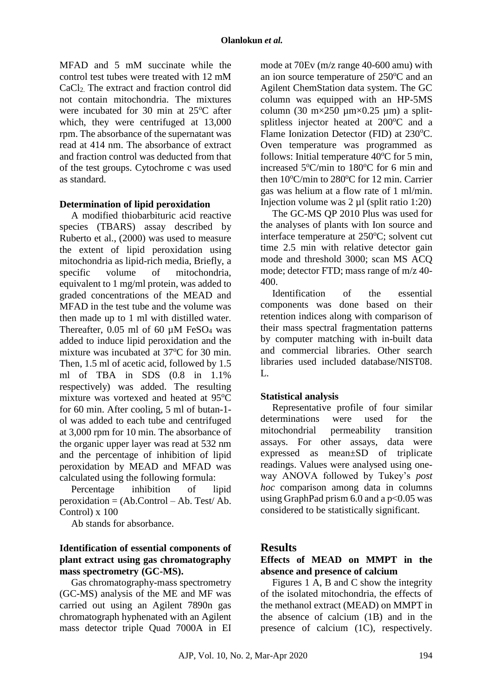MFAD and 5 mM succinate while the control test tubes were treated with 12 mM CaCl2. The extract and fraction control did not contain mitochondria. The mixtures were incubated for 30 min at 25°C after which, they were centrifuged at 13,000 rpm. The absorbance of the supernatant was read at 414 nm. The absorbance of extract and fraction control was deducted from that of the test groups. Cytochrome c was used as standard.

#### **Determination of lipid peroxidation**

A modified thiobarbituric acid reactive species (TBARS) assay described by Ruberto et al., (2000) was used to measure the extent of lipid peroxidation using mitochondria as lipid-rich media, Briefly, a specific volume of mitochondria, equivalent to 1 mg/ml protein, was added to graded concentrations of the MEAD and MFAD in the test tube and the volume was then made up to 1 ml with distilled water. Thereafter,  $0.05$  ml of 60  $\mu$ M FeSO<sub>4</sub> was added to induce lipid peroxidation and the mixture was incubated at  $37^{\circ}$ C for 30 min. Then, 1.5 ml of acetic acid, followed by 1.5 ml of TBA in SDS (0.8 in 1.1% respectively) was added. The resulting mixture was vortexed and heated at 95°C for 60 min. After cooling, 5 ml of butan-1 ol was added to each tube and centrifuged at 3,000 rpm for 10 min. The absorbance of the organic upper layer was read at 532 nm and the percentage of inhibition of lipid peroxidation by MEAD and MFAD was calculated using the following formula:

Percentage inhibition of lipid  $peroxidation = (Ab.Control - Ab. Test/Ab.$ Control) x 100

Ab stands for absorbance.

#### **Identification of essential components of plant extract using gas chromatography mass spectrometry (GC-MS).**

Gas chromatography-mass spectrometry (GC-MS) analysis of the ME and MF was carried out using an Agilent 7890n gas chromatograph hyphenated with an Agilent mass detector triple Quad 7000A in EI mode at 70Ev (m/z range 40-600 amu) with an ion source temperature of  $250^{\circ}$ C and an Agilent ChemStation data system. The GC column was equipped with an HP-5MS column (30 m $\times$ 250 µm $\times$ 0.25 µm) a splitsplitless injector heated at  $200^{\circ}$ C and a Flame Ionization Detector (FID) at 230 °C. Oven temperature was programmed as follows: Initial temperature  $40^{\circ}$ C for 5 min, increased  $5^{\circ}$ C/min to 180 $^{\circ}$ C for 6 min and then  $10^{\circ}$ C/min to 280 $^{\circ}$ C for 12 min. Carrier gas was helium at a flow rate of 1 ml/min. Injection volume was  $2 \mu$  (split ratio 1:20)

The GC-MS QP 2010 Plus was used for the analyses of plants with Ion source and interface temperature at  $250^{\circ}$ C; solvent cut time 2.5 min with relative detector gain mode and threshold 3000; scan MS ACQ mode; detector FTD; mass range of m/z 40- 400.

Identification of the essential components was done based on their retention indices along with comparison of their mass spectral fragmentation patterns by computer matching with in-built data and commercial libraries. Other search libraries used included database/NIST08. L.

### **Statistical analysis**

Representative profile of four similar determinations were used for the mitochondrial permeability transition assays. For other assays, data were expressed as mean±SD of triplicate readings. Values were analysed using oneway ANOVA followed by Tukey's *post hoc* comparison among data in columns using GraphPad prism 6.0 and a p˂0.05 was considered to be statistically significant.

## **Results**

### **Effects of MEAD on MMPT in the absence and presence of calcium**

Figures 1 A, B and C show the integrity of the isolated mitochondria, the effects of the methanol extract (MEAD) on MMPT in the absence of calcium (1B) and in the presence of calcium (1C), respectively.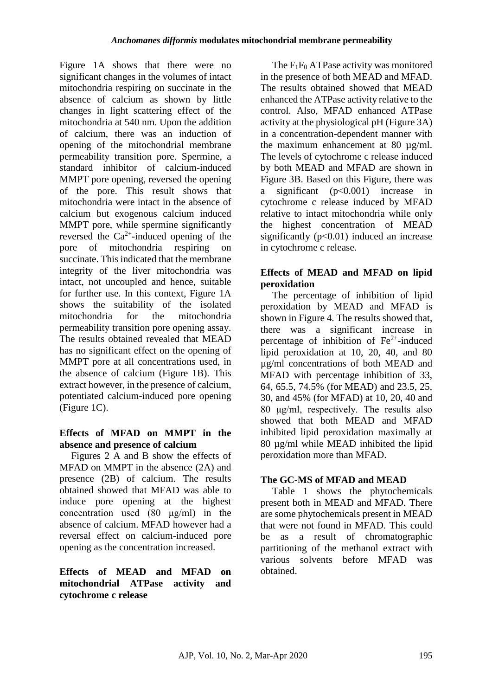Figure 1A shows that there were no significant changes in the volumes of intact mitochondria respiring on succinate in the absence of calcium as shown by little changes in light scattering effect of the mitochondria at 540 nm. Upon the addition of calcium, there was an induction of opening of the mitochondrial membrane permeability transition pore. Spermine, a standard inhibitor of calcium-induced MMPT pore opening, reversed the opening of the pore. This result shows that mitochondria were intact in the absence of calcium but exogenous calcium induced MMPT pore, while spermine significantly reversed the  $Ca^{2+}$ -induced opening of the pore of mitochondria respiring on succinate. This indicated that the membrane integrity of the liver mitochondria was intact, not uncoupled and hence, suitable for further use. In this context, Figure 1A shows the suitability of the isolated mitochondria for the mitochondria permeability transition pore opening assay. The results obtained revealed that MEAD has no significant effect on the opening of MMPT pore at all concentrations used, in the absence of calcium (Figure 1B). This extract however, in the presence of calcium, potentiated calcium-induced pore opening (Figure 1C).

### **Effects of MFAD on MMPT in the absence and presence of calcium**

Figures 2 A and B show the effects of MFAD on MMPT in the absence (2A) and presence (2B) of calcium. The results obtained showed that MFAD was able to induce pore opening at the highest concentration used (80 μg/ml) in the absence of calcium. MFAD however had a reversal effect on calcium-induced pore opening as the concentration increased.

### **Effects of MEAD and MFAD on mitochondrial ATPase activity and cytochrome c release**

The  $F_1F_0$  ATPase activity was monitored in the presence of both MEAD and MFAD. The results obtained showed that MEAD enhanced the ATPase activity relative to the control. Also, MFAD enhanced ATPase activity at the physiological pH (Figure 3A) in a concentration-dependent manner with the maximum enhancement at  $80 \text{ u}\text{g/ml}$ . The levels of cytochrome c release induced by both MEAD and MFAD are shown in Figure 3B. Based on this Figure, there was a significant (p˂0.001) increase in cytochrome c release induced by MFAD relative to intact mitochondria while only the highest concentration of MEAD significantly  $(p<0.01)$  induced an increase in cytochrome c release.

### **Effects of MEAD and MFAD on lipid peroxidation**

The percentage of inhibition of lipid peroxidation by MEAD and MFAD is shown in Figure 4. The results showed that, there was a significant increase in percentage of inhibition of  $Fe<sup>2+</sup>$ -induced lipid peroxidation at 10, 20, 40, and 80 µg/ml concentrations of both MEAD and MFAD with percentage inhibition of 33, 64, 65.5, 74.5% (for MEAD) and 23.5, 25, 30, and 45% (for MFAD) at 10, 20, 40 and 80 μg/ml, respectively. The results also showed that both MEAD and MFAD inhibited lipid peroxidation maximally at 80 µg/ml while MEAD inhibited the lipid peroxidation more than MFAD.

## **The GC-MS of MFAD and MEAD**

Table 1 shows the phytochemicals present both in MEAD and MFAD. There are some phytochemicals present in MEAD that were not found in MFAD. This could be as a result of chromatographic partitioning of the methanol extract with various solvents before MFAD was obtained.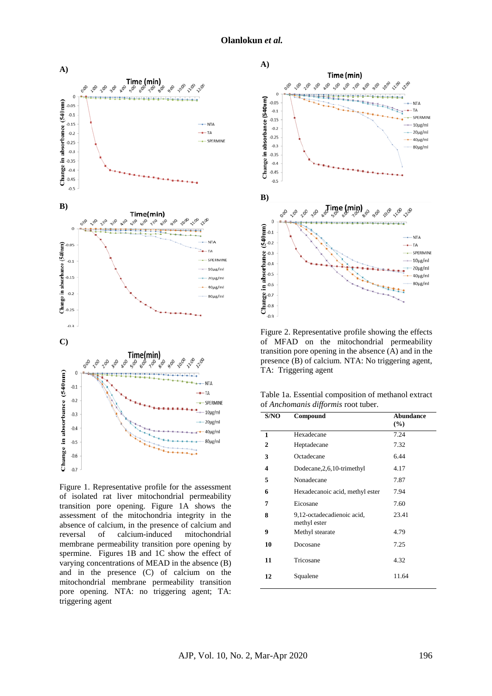

Figure 1. Representative profile for the assessment of isolated rat liver mitochondrial permeability transition pore opening. Figure 1A shows the assessment of the mitochondria integrity in the absence of calcium, in the presence of calcium and reversal of calcium-induced mitochondrial membrane permeability transition pore opening by spermine. Figures 1B and 1C show the effect of varying concentrations of MEAD in the absence (B) and in the presence (C) of calcium on the mitochondrial membrane permeability transition pore opening. NTA: no triggering agent; TA: triggering agent



Figure 2. Representative profile showing the effects of MFAD on the mitochondrial permeability transition pore opening in the absence (A) and in the presence (B) of calcium. NTA: No triggering agent, TA: Triggering agent

Table 1a. Essential composition of methanol extract of *Anchomanis difformis* root tuber.

| S/NO | Compound                                   | Abundance<br>(%) |
|------|--------------------------------------------|------------------|
| 1    | Hexadecane                                 | 7.24             |
| 2    | Heptadecane                                | 7.32             |
| 3    | Octadecane                                 | 6.44             |
| 4    | Dodecane, 2, 6, 10-trimethyl               | 4.17             |
| 5    | Nonadecane                                 | 7.87             |
| 6    | Hexadecanoic acid, methyl ester            | 7.94             |
| 7    | Eicosane                                   | 7.60             |
| 8    | 9,12-octadecadienoic acid,<br>methyl ester | 23.41            |
| 9    | Methyl stearate                            | 4.79             |
| 10   | Docosane                                   | 7.25             |
| 11   | Tricosane                                  | 4.32             |
| 12   | Squalene                                   | 11.64            |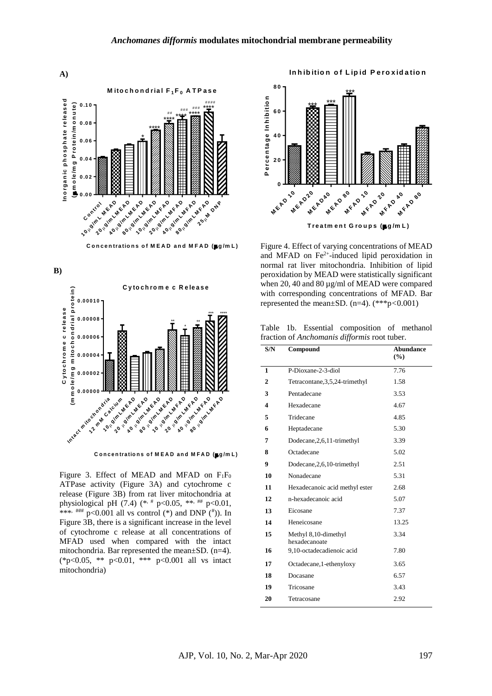

Concentrations of MEAD and MFAD (#g/mL)





Concentrations of MEAD and MFAD (Bg/mL)

Figure 3. Effect of MEAD and MFAD on  $F_1F_0$ ATPase activity (Figure 3A) and cytochrome c release (Figure 3B) from rat liver mitochondria at physiological pH  $(7.4)$  (\*, # p<0.05, \*\*, ## p<0.01, \*\*\*,  $\frac{***}{*}$ ,  $\frac{***}{*}$  p<0.001 all vs control (\*) and DNP (\*). In Figure 3B, there is a significant increase in the level of cytochrome c release at all concentrations of MFAD used when compared with the intact mitochondria. Bar represented the mean±SD. (n=4). (\*p<0.05, \*\* p<0.01, \*\*\* p<0.001 all vs intact mitochondria)

#### **In h ib itio <sup>n</sup> <sup>o</sup> fL ip id P <sup>e</sup> ro <sup>x</sup> id <sup>a</sup> tio <sup>n</sup>**



Figure 4. Effect of varying concentrations of MEAD and MFAD on  $Fe<sup>2+</sup>$ -induced lipid peroxidation in normal rat liver mitochondria. Inhibition of lipid peroxidation by MEAD were statistically significant when 20, 40 and 80 µg/ml of MEAD were compared with corresponding concentrations of MFAD. Bar represented the mean±SD. (n=4). (\*\*\*p*<*0.001)

Table 1b. Essential composition of methanol fraction of *Anchomanis difformis* root tuber.

| S/N | Compound                              | <b>Abundance</b><br>(%) |
|-----|---------------------------------------|-------------------------|
| 1   | P-Dioxane-2-3-diol                    | 7.76                    |
| 2   | Tetracontane, 3, 5, 24-trimethyl      | 1.58                    |
| 3   | Pentadecane                           | 3.53                    |
| 4   | Hexadecane                            | 4.67                    |
| 5   | Tridecane                             | 4.85                    |
| 6   | Heptadecane                           | 5.30                    |
| 7   | Dodecane, 2, 6, 11-trimethyl          | 3.39                    |
| 8   | Octadecane                            | 5.02                    |
| 9   | Dodecane, 2, 6, 10-trimethyl          | 2.51                    |
| 10  | Nonadecane                            | 5.31                    |
| 11  | Hexadecanoic acid methyl ester        | 2.68                    |
| 12  | n-hexadecanoic acid                   | 5.07                    |
| 13  | Eicosane                              | 7.37                    |
| 14  | Heneicosane                           | 13.25                   |
| 15  | Methyl 8,10-dimethyl<br>hexadecanoate | 3.34                    |
| 16  | 9,10-octadecadienoic acid             | 7.80                    |
| 17  | Octadecane, 1-ethenyloxy              | 3.65                    |
| 18  | Docasane                              | 6.57                    |
| 19  | Tricosane                             | 3.43                    |
| 20  | Tetracosane                           | 2.92                    |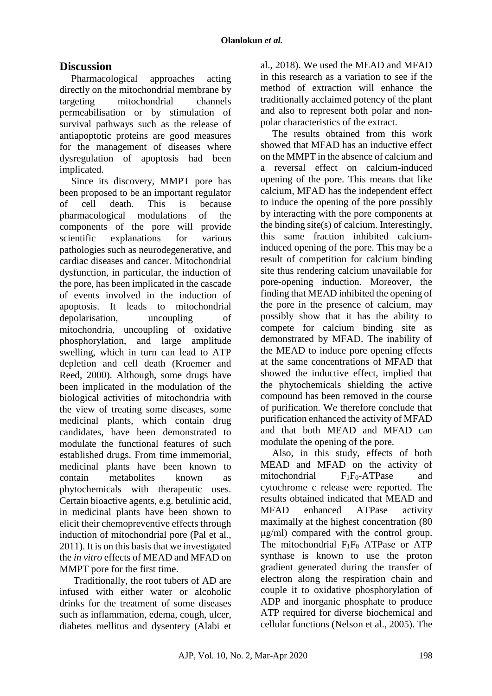# **Discussion**

Pharmacological approaches acting directly on the mitochondrial membrane by targeting mitochondrial channels permeabilisation or by stimulation of survival pathways such as the release of antiapoptotic proteins are good measures for the management of diseases where dysregulation of apoptosis had been implicated.

Since its discovery, MMPT pore has been proposed to be an important regulator of cell death. This is because pharmacological modulations of the components of the pore will provide scientific explanations for various pathologies such as neurodegenerative, and cardiac diseases and cancer. Mitochondrial dysfunction, in particular, the induction of the pore, has been implicated in the cascade of events involved in the induction of apoptosis. It leads to mitochondrial depolarisation, uncoupling of mitochondria, uncoupling of oxidative phosphorylation, and large amplitude swelling, which in turn can lead to ATP depletion and cell death (Kroemer and Reed, 2000). Although, some drugs have been implicated in the modulation of the biological activities of mitochondria with the view of treating some diseases, some medicinal plants, which contain drug candidates, have been demonstrated to modulate the functional features of such established drugs. From time immemorial, medicinal plants have been known to contain metabolites known as phytochemicals with therapeutic uses. Certain bioactive agents, e.g. betulinic acid, in medicinal plants have been shown to elicit their chemopreventive effects through induction of mitochondrial pore (Pal et al., 2011). It is on this basis that we investigated the *in vitro* effects of MEAD and MFAD on MMPT pore for the first time.

Traditionally, the root tubers of AD are infused with either water or alcoholic drinks for the treatment of some diseases such as inflammation, edema, cough, ulcer, diabetes mellitus and dysentery (Alabi et al., 2018). We used the MEAD and MFAD in this research as a variation to see if the method of extraction will enhance the traditionally acclaimed potency of the plant and also to represent both polar and nonpolar characteristics of the extract.

The results obtained from this work showed that MFAD has an inductive effect on the MMPT in the absence of calcium and a reversal effect on calcium-induced opening of the pore. This means that like calcium, MFAD has the independent effect to induce the opening of the pore possibly by interacting with the pore components at the binding site(s) of calcium. Interestingly, this same fraction inhibited calciuminduced opening of the pore. This may be a result of competition for calcium binding site thus rendering calcium unavailable for pore-opening induction. Moreover, the finding that MEAD inhibited the opening of the pore in the presence of calcium, may possibly show that it has the ability to compete for calcium binding site as demonstrated by MFAD. The inability of the MEAD to induce pore opening effects at the same concentrations of MFAD that showed the inductive effect, implied that the phytochemicals shielding the active compound has been removed in the course of purification. We therefore conclude that purification enhanced the activity of MFAD and that both MEAD and MFAD can modulate the opening of the pore.

Also, in this study, effects of both MEAD and MFAD on the activity of mitochondrial  $F_1F_0$ -ATPase and cytochrome c release were reported. The results obtained indicated that MEAD and MFAD enhanced ATPase activity maximally at the highest concentration (80 μg/ml) compared with the control group. The mitochondrial  $F_1F_0$  ATPase or ATP synthase is known to use the proton gradient generated during the transfer of electron along the respiration chain and couple it to oxidative phosphorylation of ADP and inorganic phosphate to produce ATP required for diverse biochemical and cellular functions (Nelson et al., 2005). The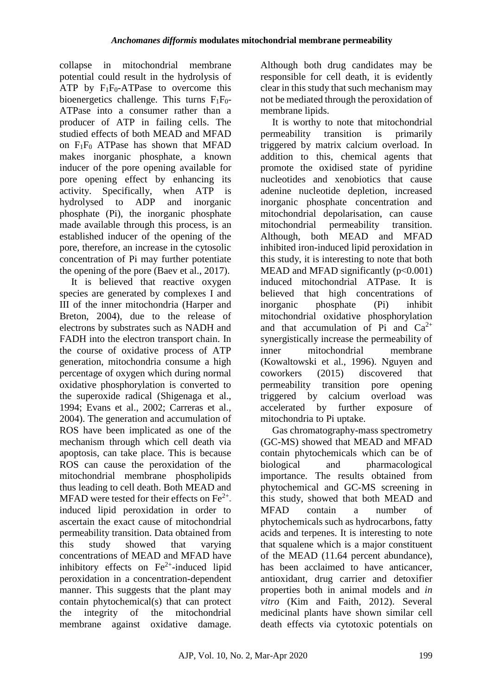collapse in mitochondrial membrane potential could result in the hydrolysis of ATP by  $F_1F_0$ -ATPase to overcome this bioenergetics challenge. This turns  $F_1F_0$ -ATPase into a consumer rather than a producer of ATP in failing cells. The studied effects of both MEAD and MFAD on F1F<sup>0</sup> ATPase has shown that MFAD makes inorganic phosphate, a known inducer of the pore opening available for pore opening effect by enhancing its activity. Specifically, when ATP is hydrolysed to ADP and inorganic phosphate (Pi), the inorganic phosphate made available through this process, is an established inducer of the opening of the pore, therefore, an increase in the cytosolic concentration of Pi may further potentiate the opening of the pore (Baev et al., 2017).

It is believed that reactive oxygen species are generated by complexes I and III of the inner mitochondria (Harper and Breton, 2004), due to the release of electrons by substrates such as NADH and FADH into the electron transport chain. In the course of oxidative process of ATP generation, mitochondria consume a high percentage of oxygen which during normal oxidative phosphorylation is converted to the superoxide radical (Shigenaga et al., 1994; Evans et al., 2002; Carreras et al., 2004). The generation and accumulation of ROS have been implicated as one of the mechanism through which cell death via apoptosis, can take place. This is because ROS can cause the peroxidation of the mitochondrial membrane phospholipids thus leading to cell death. Both MEAD and MFAD were tested for their effects on  $Fe^{2+}$ . induced lipid peroxidation in order to ascertain the exact cause of mitochondrial permeability transition. Data obtained from this study showed that varying concentrations of MEAD and MFAD have inhibitory effects on  $Fe<sup>2+</sup>$ -induced lipid peroxidation in a concentration-dependent manner. This suggests that the plant may contain phytochemical(s) that can protect the integrity of the mitochondrial membrane against oxidative damage. Although both drug candidates may be responsible for cell death, it is evidently clear in this study that such mechanism may not be mediated through the peroxidation of membrane lipids.

It is worthy to note that mitochondrial permeability transition is primarily triggered by matrix calcium overload. In addition to this, chemical agents that promote the oxidised state of pyridine nucleotides and xenobiotics that cause adenine nucleotide depletion, increased inorganic phosphate concentration and mitochondrial depolarisation, can cause mitochondrial permeability transition. Although, both MEAD and MFAD inhibited iron-induced lipid peroxidation in this study, it is interesting to note that both MEAD and MFAD significantly  $(p<0.001)$ induced mitochondrial ATPase. It is believed that high concentrations of inorganic phosphate (Pi) inhibit mitochondrial oxidative phosphorylation and that accumulation of Pi and  $Ca^{2+}$ synergistically increase the permeability of inner mitochondrial membrane (Kowaltowski et al., 1996). Nguyen and coworkers (2015) discovered that permeability transition pore opening triggered by calcium overload was accelerated by further exposure of mitochondria to Pi uptake.

Gas chromatography-mass spectrometry (GC-MS) showed that MEAD and MFAD contain phytochemicals which can be of biological and pharmacological importance. The results obtained from phytochemical and GC-MS screening in this study, showed that both MEAD and MFAD contain a number of phytochemicals such as hydrocarbons, fatty acids and terpenes. It is interesting to note that squalene which is a major constituent of the MEAD (11.64 percent abundance), has been acclaimed to have anticancer, antioxidant, drug carrier and detoxifier properties both in animal models and *in vitro* (Kim and Faith, 2012). Several medicinal plants have shown similar cell death effects via cytotoxic potentials on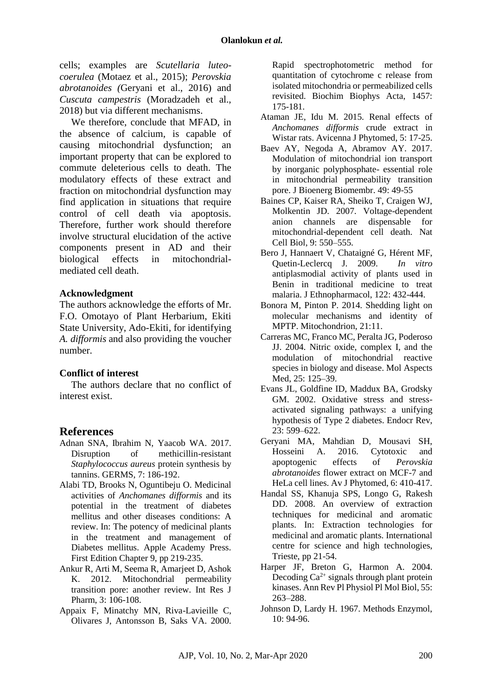cells; examples are *Scutellaria luteocoerulea* (Motaez et al., 2015); *Perovskia abrotanoides (*Geryani et al., 2016) and *Cuscuta campestris* (Moradzadeh et al., 2018) but via different mechanisms.

We therefore, conclude that MFAD, in the absence of calcium, is capable of causing mitochondrial dysfunction; an important property that can be explored to commute deleterious cells to death. The modulatory effects of these extract and fraction on mitochondrial dysfunction may find application in situations that require control of cell death via apoptosis. Therefore, further work should therefore involve structural elucidation of the active components present in AD and their biological effects in mitochondrialmediated cell death.

#### **Acknowledgment**

The authors acknowledge the efforts of Mr. F.O. Omotayo of Plant Herbarium, Ekiti State University, Ado-Ekiti, for identifying *A. difformis* and also providing the voucher number.

### **Conflict of interest**

The authors declare that no conflict of interest exist.

## **References**

- Adnan SNA, Ibrahim N, Yaacob WA. 2017. Disruption of methicillin-resistant *Staphylococcus aureus* protein synthesis by tannins. GERMS, 7: 186-192.
- Alabi TD, Brooks N, Oguntibeju O. Medicinal activities of *Anchomanes difformis* and its potential in the treatment of diabetes mellitus and other diseases conditions: A review. In: The potency of medicinal plants in the treatment and management of Diabetes mellitus. Apple Academy Press. First Edition Chapter 9, pp 219-235.
- Ankur R, Arti M, Seema R, Amarjeet D, Ashok K. 2012. Mitochondrial permeability transition pore: another review. Int Res J Pharm, 3: 106-108.
- Appaix F, Minatchy MN, Riva-Lavieille C, Olivares J, Antonsson B, Saks VA. 2000.

Rapid spectrophotometric method for quantitation of cytochrome c release from isolated mitochondria or permeabilized cells revisited. Biochim Biophys Acta, 1457: 175-181.

- Ataman JE, Idu M. 2015. Renal effects of *Anchomanes difformis* crude extract in Wistar rats. Avicenna J Phytomed, 5: 17-25.
- Baev AY, Negoda A, Abramov AY. 2017. Modulation of mitochondrial ion transport by inorganic polyphosphate- essential role in mitochondrial permeability transition pore. J Bioenerg Biomembr. 49: 49-55
- Baines CP, Kaiser RA, Sheiko T, Craigen WJ, Molkentin JD. 2007. Voltage-dependent anion channels are dispensable for mitochondrial-dependent cell death. Nat Cell Biol, 9: 550–555.
- Bero J, Hannaert V, Chataigné G, Hérent MF, Quetin-Leclercq J. 2009. *In vitro*  antiplasmodial activity of plants used in Benin in traditional medicine to treat malaria. J Ethnopharmacol, 122: 432-444.
- Bonora M, Pinton P. 2014. Shedding light on molecular mechanisms and identity of MPTP. Mitochondrion, 21:11.
- Carreras MC, Franco MC, Peralta JG, Poderoso JJ. 2004. Nitric oxide, complex I, and the modulation of mitochondrial reactive species in biology and disease. Mol Aspects Med, 25: 125–39.
- Evans JL, Goldfine ID, Maddux BA, Grodsky GM. 2002. Oxidative stress and stressactivated signaling pathways: a unifying hypothesis of Type 2 diabetes. Endocr Rev, 23: 599–622.
- Geryani MA, Mahdian D, Mousavi SH, Hosseini A. 2016. Cytotoxic and apoptogenic effects of *Perovskia abrotanoides* flower extract on MCF-7 and HeLa cell lines. Av J Phytomed, 6: 410-417.
- Handal SS, Khanuja SPS, Longo G, Rakesh DD. 2008. An overview of extraction techniques for medicinal and aromatic plants. In: Extraction technologies for medicinal and aromatic plants. International centre for science and high technologies, Trieste, pp 21-54.
- Harper JF, Breton G, Harmon A. 2004. Decoding  $Ca^{2+}$  signals through plant protein kinases. Ann Rev Pl Physiol Pl Mol Biol, 55: 263–288.
- Johnson D, Lardy H. 1967. Methods Enzymol, 10: 94-96.